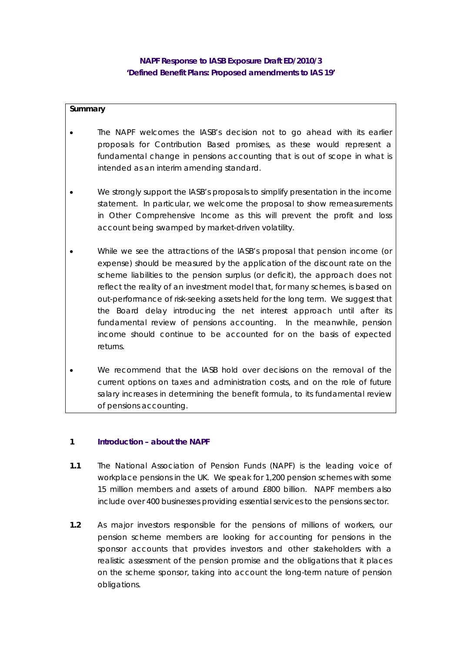# **NAPF Response to IASB Exposure Draft ED/2010/3 'Defined Benefit Plans: Proposed amendments to IAS 19'**

# **Summary**

- The NAPF welcomes the IASB's decision not to go ahead with its earlier proposals for Contribution Based promises, as these would represent a fundamental change in pensions accounting that is out of scope in what is intended as an interim amending standard.
- We strongly support the IASB's proposals to simplify presentation in the income statement. In particular, we welcome the proposal to show remeasurements in Other Comprehensive Income as this will prevent the profit and loss account being swamped by market-driven volatility.
- While we see the attractions of the IASB's proposal that pension income (or expense) should be measured by the application of the discount rate on the scheme liabilities to the pension surplus (or deficit), the approach does not reflect the reality of an investment model that, for many schemes, is based on out-performance of risk-seeking assets held for the long term. We suggest that the Board delay introducing the net interest approach until after its fundamental review of pensions accounting. In the meanwhile, pension income should continue to be accounted for on the basis of expected returns.
- We recommend that the IASB hold over decisions on the removal of the current options on taxes and administration costs, and on the role of future salary increases in determining the benefit formula, to its fundamental review of pensions accounting.

#### **1 Introduction – about the NAPF**

- **1.1** The National Association of Pension Funds (NAPF) is the leading voice of workplace pensions in the UK. We speak for 1,200 pension schemes with some 15 million members and assets of around £800 billion. NAPF members also include over 400 businesses providing essential services to the pensions sector.
- **1.2** As major investors responsible for the pensions of millions of workers, our pension scheme members are looking for accounting for pensions in the sponsor accounts that provides investors and other stakeholders with a realistic assessment of the pension promise and the obligations that it places on the scheme sponsor, taking into account the long-term nature of pension obligations.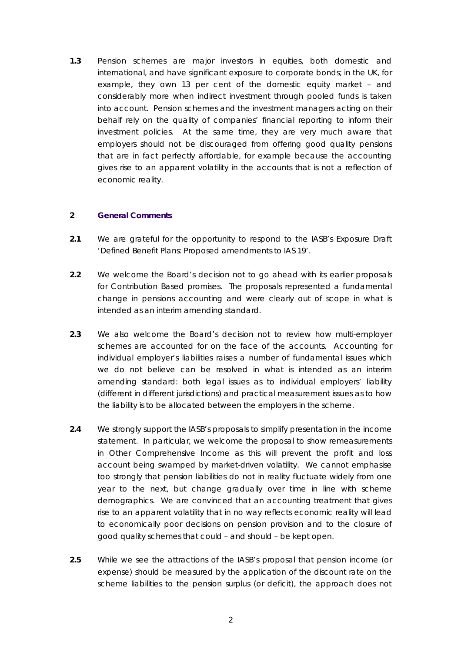**1.3** Pension schemes are major investors in equities, both domestic and international, and have significant exposure to corporate bonds; in the UK, for example, they own 13 per cent of the domestic equity market – and considerably more when indirect investment through pooled funds is taken into account. Pension schemes and the investment managers acting on their behalf rely on the quality of companies' financial reporting to inform their investment policies. At the same time, they are very much aware that employers should not be discouraged from offering good quality pensions that are in fact perfectly affordable, for example because the accounting gives rise to an apparent volatility in the accounts that is not a reflection of economic reality.

## **2 General Comments**

- **2.1** We are grateful for the opportunity to respond to the IASB's Exposure Draft 'Defined Benefit Plans: Proposed amendments to IAS 19'.
- **2.2** We welcome the Board's decision not to go ahead with its earlier proposals for Contribution Based promises. The proposals represented a fundamental change in pensions accounting and were clearly out of scope in what is intended as an interim amending standard.
- **2.3** We also welcome the Board's decision not to review how multi-employer schemes are accounted for on the face of the accounts. Accounting for individual employer's liabilities raises a number of fundamental issues which we do not believe can be resolved in what is intended as an interim amending standard: both legal issues as to individual employers' liability (different in different jurisdictions) and practical measurement issues as to how the liability is to be allocated between the employers in the scheme.
- **2.4** We strongly support the IASB's proposals to simplify presentation in the income statement. In particular, we welcome the proposal to show remeasurements in Other Comprehensive Income as this will prevent the profit and loss account being swamped by market-driven volatility. We cannot emphasise too strongly that pension liabilities do not in reality fluctuate widely from one year to the next, but change gradually over time in line with scheme demographics. We are convinced that an accounting treatment that gives rise to an apparent volatility that in no way reflects economic reality will lead to economically poor decisions on pension provision and to the closure of good quality schemes that could – and should – be kept open.
- **2.5** While we see the attractions of the IASB's proposal that pension income (or expense) should be measured by the application of the discount rate on the scheme liabilities to the pension surplus (or deficit), the approach does not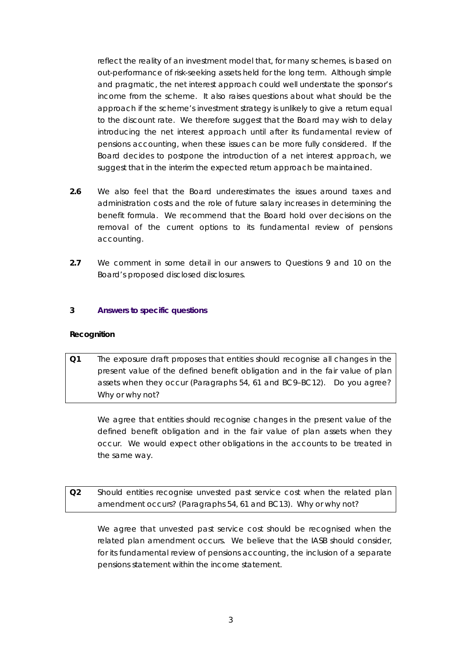reflect the reality of an investment model that, for many schemes, is based on out-performance of risk-seeking assets held for the long term. Although simple and pragmatic, the net interest approach could well understate the sponsor's income from the scheme. It also raises questions about what should be the approach if the scheme's investment strategy is unlikely to give a return equal to the discount rate. We therefore suggest that the Board may wish to delay introducing the net interest approach until after its fundamental review of pensions accounting, when these issues can be more fully considered. If the Board decides to postpone the introduction of a net interest approach, we suggest that in the interim the expected return approach be maintained.

- **2.6** We also feel that the Board underestimates the issues around taxes and administration costs and the role of future salary increases in determining the benefit formula. We recommend that the Board hold over decisions on the removal of the current options to its fundamental review of pensions accounting.
- **2.7** We comment in some detail in our answers to Questions 9 and 10 on the Board's proposed disclosed disclosures.

## **3 Answers to specific questions**

#### **Recognition**

*Q1 The exposure draft proposes that entities should recognise all changes in the present value of the defined benefit obligation and in the fair value of plan assets when they occur (Paragraphs 54, 61 and BC9–BC12). Do you agree? Why or why not?* 

We agree that entities should recognise changes in the present value of the defined benefit obligation and in the fair value of plan assets when they occur. We would expect other obligations in the accounts to be treated in the same way.

*Q2 Should entities recognise unvested past service cost when the related plan amendment occurs? (Paragraphs 54, 61 and BC13). Why or why not?* 

 We agree that unvested past service cost should be recognised when the related plan amendment occurs. We believe that the IASB should consider, for its fundamental review of pensions accounting, the inclusion of a separate pensions statement within the income statement.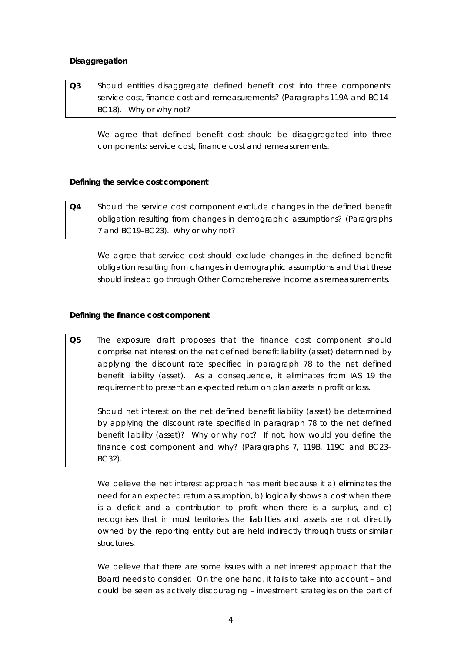# **Disaggregation**

*Q3 Should entities disaggregate defined benefit cost into three components: service cost, finance cost and remeasurements? (Paragraphs 119A and BC14– BC18). Why or why not?* 

We agree that defined benefit cost should be disaggregated into three components: service cost, finance cost and remeasurements.

## *Defining the service cost component*

*Q4 Should the service cost component exclude changes in the defined benefit obligation resulting from changes in demographic assumptions? (Paragraphs 7 and BC19–BC23). Why or why not?* 

 We agree that service cost should exclude changes in the defined benefit obligation resulting from changes in demographic assumptions and that these should instead go through Other Comprehensive Income as remeasurements.

## *Defining the finance cost component*

*Q5 The exposure draft proposes that the finance cost component should comprise net interest on the net defined benefit liability (asset) determined by applying the discount rate specified in paragraph 78 to the net defined benefit liability (asset). As a consequence, it eliminates from IAS 19 the requirement to present an expected return on plan assets in profit or loss.* 

 *Should net interest on the net defined benefit liability (asset) be determined by applying the discount rate specified in paragraph 78 to the net defined benefit liability (asset)? Why or why not? If not, how would you define the finance cost component and why? (Paragraphs 7, 119B, 119C and BC23– BC32).* 

We believe the net interest approach has merit because it a) eliminates the need for an expected return assumption, b) logically shows a cost when there is a deficit and a contribution to profit when there is a surplus, and c) recognises that in most territories the liabilities and assets are not directly owned by the reporting entity but are held indirectly through trusts or similar structures.

We believe that there are some issues with a net interest approach that the Board needs to consider. On the one hand, it fails to take into account – and could be seen as actively discouraging – investment strategies on the part of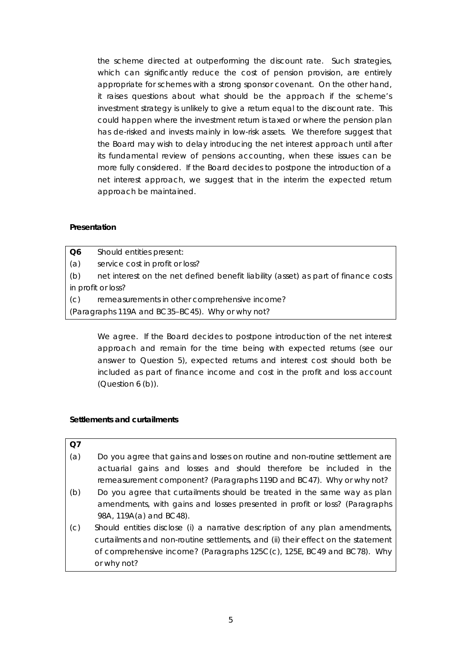the scheme directed at outperforming the discount rate. Such strategies, which can significantly reduce the cost of pension provision, are entirely appropriate for schemes with a strong sponsor covenant. On the other hand, it raises questions about what should be the approach if the scheme's investment strategy is unlikely to give a return equal to the discount rate. This could happen where the investment return is taxed or where the pension plan has de-risked and invests mainly in low-risk assets. We therefore suggest that the Board may wish to delay introducing the net interest approach until after its fundamental review of pensions accounting, when these issues can be more fully considered. If the Board decides to postpone the introduction of a net interest approach, we suggest that in the interim the expected return approach be maintained.

## **Presentation**

- *Q6 Should entities present:*
- *(a) service cost in profit or loss?*
- *(b) net interest on the net defined benefit liability (asset) as part of finance costs in profit or loss?*
- *(c) remeasurements in other comprehensive income?*
- *(Paragraphs 119A and BC35–BC45). Why or why not?*

 We agree. If the Board decides to postpone introduction of the net interest approach and remain for the time being with expected returns (see our answer to Question 5), expected returns and interest cost should both be included as part of finance income and cost in the profit and loss account (Question 6 (b)).

# **Settlements and curtailments**

#### *Q7*

- *(a) Do you agree that gains and losses on routine and non-routine settlement are actuarial gains and losses and should therefore be included in the remeasurement component? (Paragraphs 119D and BC47). Why or why not?*
- *(b) Do you agree that curtailments should be treated in the same way as plan amendments, with gains and losses presented in profit or loss? (Paragraphs 98A, 119A(a) and BC48).*
- *(c) Should entities disclose (i) a narrative description of any plan amendments, curtailments and non-routine settlements, and (ii) their effect on the statement of comprehensive income? (Paragraphs 125C(c), 125E, BC49 and BC78). Why or why not?*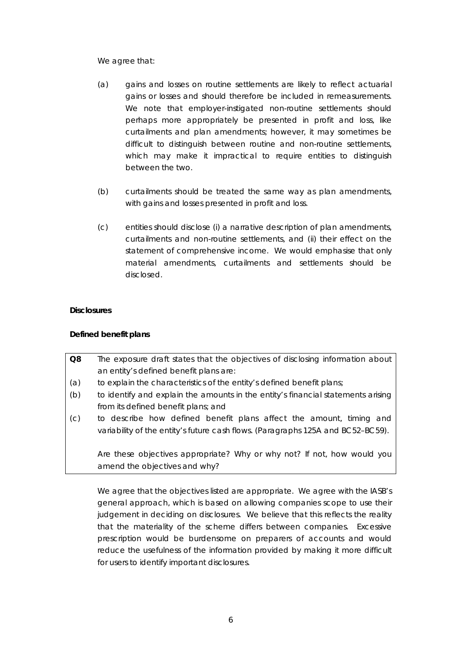We agree that:

- (a) gains and losses on routine settlements are likely to reflect actuarial gains or losses and should therefore be included in remeasurements. We note that employer-instigated non-routine settlements should perhaps more appropriately be presented in profit and loss, like curtailments and plan amendments; however, it may sometimes be difficult to distinguish between routine and non-routine settlements, which may make it impractical to require entities to distinguish between the two.
- (b) curtailments should be treated the same way as plan amendments, with gains and losses presented in profit and loss.
- (c) entities should disclose (i) a narrative description of plan amendments, curtailments and non-routine settlements, and (ii) their effect on the statement of comprehensive income. We would emphasise that only material amendments, curtailments and settlements should be disclosed.

# **Disclosures**

# *Defined benefit plans*

- *Q8 The exposure draft states that the objectives of disclosing information about an entity's defined benefit plans are:*
- *(a) to explain the characteristics of the entity's defined benefit plans;*
- *(b) to identify and explain the amounts in the entity's financial statements arising from its defined benefit plans; and*
- *(c) to describe how defined benefit plans affect the amount, timing and variability of the entity's future cash flows. (Paragraphs 125A and BC52–BC59).*

 *Are these objectives appropriate? Why or why not? If not, how would you amend the objectives and why?* 

 We agree that the objectives listed are appropriate. We agree with the IASB's general approach, which is based on allowing companies scope to use their judgement in deciding on disclosures. We believe that this reflects the reality that the materiality of the scheme differs between companies. Excessive prescription would be burdensome on preparers of accounts and would reduce the usefulness of the information provided by making it more difficult for users to identify important disclosures.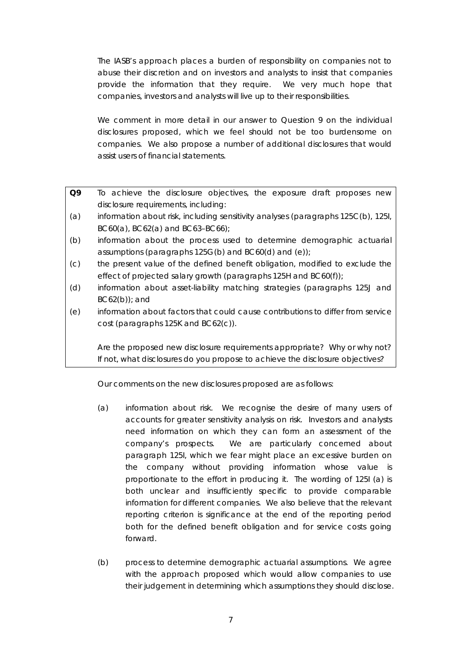The IASB's approach places a burden of responsibility on companies not to abuse their discretion and on investors and analysts to insist that companies provide the information that they require. We very much hope that companies, investors and analysts will live up to their responsibilities.

 We comment in more detail in our answer to Question 9 on the individual disclosures proposed, which we feel should not be too burdensome on companies. We also propose a number of additional disclosures that would assist users of financial statements.

- *Q9 To achieve the disclosure objectives, the exposure draft proposes new disclosure requirements, including:*
- *(a) information about risk, including sensitivity analyses (paragraphs 125C(b), 125I, BC60(a), BC62(a) and BC63–BC66);*
- *(b) information about the process used to determine demographic actuarial assumptions (paragraphs 125G(b) and BC60(d) and (e));*
- *(c) the present value of the defined benefit obligation, modified to exclude the effect of projected salary growth (paragraphs 125H and BC60(f));*
- *(d) information about asset-liability matching strategies (paragraphs 125J and BC62(b)); and*
- *(e) information about factors that could cause contributions to differ from service cost (paragraphs 125K and BC62(c)).*

 *Are the proposed new disclosure requirements appropriate? Why or why not? If not, what disclosures do you propose to achieve the disclosure objectives?* 

Our comments on the new disclosures proposed are as follows:

- (a) *information about risk*. We recognise the desire of many users of accounts for greater sensitivity analysis on risk. Investors and analysts need information on which they can form an assessment of the company's prospects. We are particularly concerned about paragraph 125I, which we fear might place an excessive burden on the company without providing information whose value is proportionate to the effort in producing it. The wording of 125I (a) is both unclear and insufficiently specific to provide comparable information for different companies. We also believe that the relevant reporting criterion is significance at the end of the reporting period both for the defined benefit obligation and for service costs going forward.
- (b) *process to determine demographic actuarial assumptions*. We agree with the approach proposed which would allow companies to use their judgement in determining which assumptions they should disclose.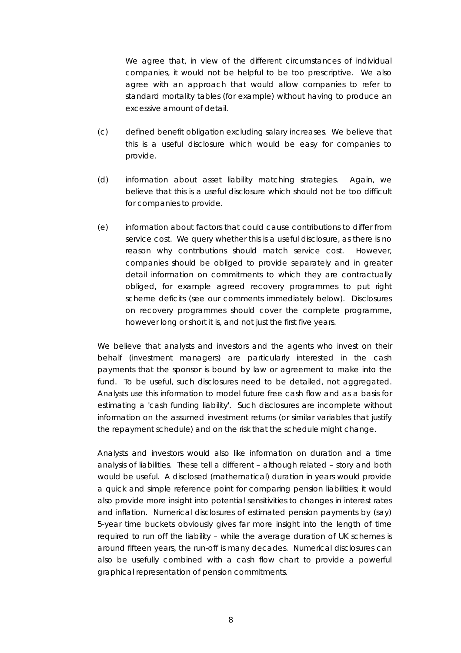We agree that, in view of the different circumstances of individual companies, it would not be helpful to be too prescriptive. We also agree with an approach that would allow companies to refer to standard mortality tables (for example) without having to produce an excessive amount of detail.

- (c) *defined benefit obligation excluding salary increases.* We believe that this is a useful disclosure which would be easy for companies to provide.
- (d) *information about asset liability matching strategies*. Again, we believe that this is a useful disclosure which should not be too difficult for companies to provide.
- (e) *information about factors that could cause contributions to differ from service cost*. We query whether this is a useful disclosure, as there is no reason why contributions should match service cost. However, companies should be obliged to provide separately and in greater detail information on commitments to which they are contractually obliged, for example agreed recovery programmes to put right scheme deficits (see our comments immediately below). Disclosures on recovery programmes should cover the complete programme, however long or short it is, and not just the first five years.

We believe that analysts and investors and the agents who invest on their behalf (investment managers) are particularly interested in the cash payments that the sponsor is bound by law or agreement to make into the fund. To be useful, such disclosures need to be detailed, not aggregated. Analysts use this information to model future free cash flow and as a basis for estimating a 'cash funding liability'. Such disclosures are incomplete without information on the assumed investment returns (or similar variables that justify the repayment schedule) and on the risk that the schedule might change.

Analysts and investors would also like information on duration and a time analysis of liabilities. These tell a different – although related – story and both would be useful. A disclosed (mathematical) duration in years would provide a quick and simple reference point for comparing pension liabilities; it would also provide more insight into potential sensitivities to changes in interest rates and inflation. Numerical disclosures of estimated pension payments by (say) 5-year time buckets obviously gives far more insight into the length of time required to run off the liability – while the average duration of UK schemes is around fifteen years, the run-off is many decades. Numerical disclosures can also be usefully combined with a cash flow chart to provide a powerful graphical representation of pension commitments.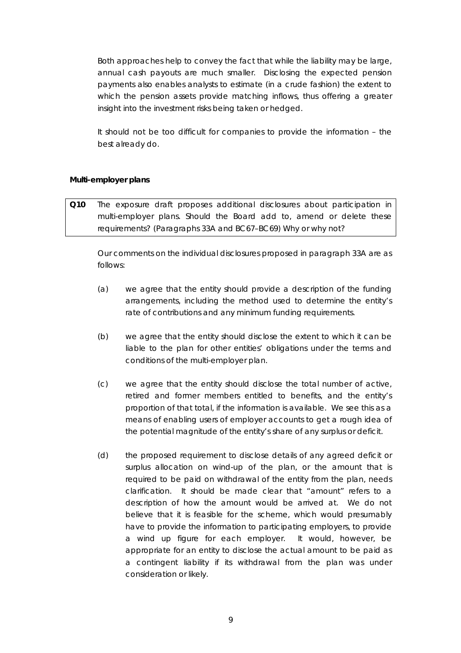Both approaches help to convey the fact that while the liability may be large, annual cash payouts are much smaller. Disclosing the expected pension payments also enables analysts to estimate (in a crude fashion) the extent to which the pension assets provide matching inflows, thus offering a greater insight into the investment risks being taken or hedged.

It should not be too difficult for companies to provide the information – the best already do.

## *Multi-employer plans*

*Q10 The exposure draft proposes additional disclosures about participation in multi-employer plans. Should the Board add to, amend or delete these requirements? (Paragraphs 33A and BC67–BC69) Why or why not?* 

Our comments on the individual disclosures proposed in paragraph 33A are as follows:

- (a) we agree that the entity should provide a description of the funding arrangements, including the method used to determine the entity's rate of contributions and any minimum funding requirements.
- (b) we agree that the entity should disclose the extent to which it can be liable to the plan for other entities' obligations under the terms and conditions of the multi-employer plan.
- (c) we agree that the entity should disclose the total number of active, retired and former members entitled to benefits, and the entity's proportion of that total, if the information is available. We see this as a means of enabling users of employer accounts to get a rough idea of the potential magnitude of the entity's share of any surplus or deficit.
- (d) the proposed requirement to disclose details of any agreed deficit or surplus allocation on wind-up of the plan, or the amount that is required to be paid on withdrawal of the entity from the plan, needs clarification. It should be made clear that "amount" refers to a description of how the amount would be arrived at. We do not believe that it is feasible for the scheme, which would presumably have to provide the information to participating employers, to provide a wind up figure for each employer. It would, however, be appropriate for an entity to disclose the actual amount to be paid as a contingent liability if its withdrawal from the plan was under consideration or likely.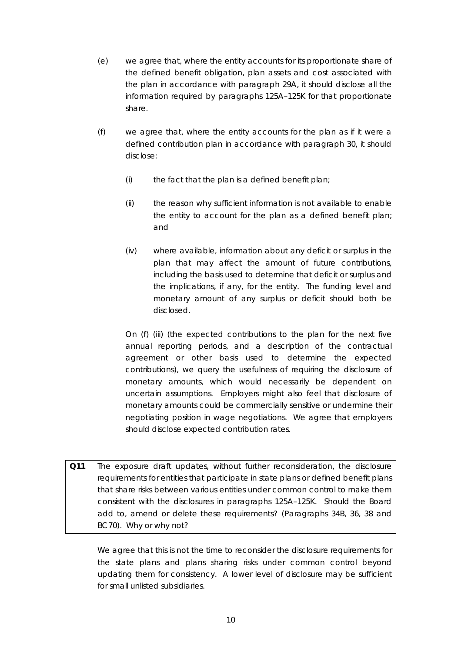- (e) we agree that, where the entity accounts for its proportionate share of the defined benefit obligation, plan assets and cost associated with the plan in accordance with paragraph 29A, it should disclose all the information required by paragraphs 125A–125K for that proportionate share.
- (f) we agree that, where the entity accounts for the plan as if it were a defined contribution plan in accordance with paragraph 30, it should disclose:
	- $(i)$  the fact that the plan is a defined benefit plan;
	- (ii) the reason why sufficient information is not available to enable the entity to account for the plan as a defined benefit plan; and
	- (iv) where available, information about any deficit or surplus in the plan that may affect the amount of future contributions, including the basis used to determine that deficit or surplus and the implications, if any, for the entity. The funding level and monetary amount of any surplus or deficit should both be disclosed.

On (f) (iii) (the expected contributions to the plan for the next five annual reporting periods, and a description of the contractual agreement or other basis used to determine the expected contributions), we query the usefulness of requiring the disclosure of monetary amounts, which would necessarily be dependent on uncertain assumptions. Employers might also feel that disclosure of monetary amounts could be commercially sensitive or undermine their negotiating position in wage negotiations. We agree that employers should disclose expected contribution rates.

*Q11 The exposure draft updates, without further reconsideration, the disclosure requirements for entities that participate in state plans or defined benefit plans that share risks between various entities under common control to make them consistent with the disclosures in paragraphs 125A–125K. Should the Board add to, amend or delete these requirements? (Paragraphs 34B, 36, 38 and BC70). Why or why not?* 

We agree that this is not the time to reconsider the disclosure requirements for the state plans and plans sharing risks under common control beyond updating them for consistency. A lower level of disclosure may be sufficient for small unlisted subsidiaries.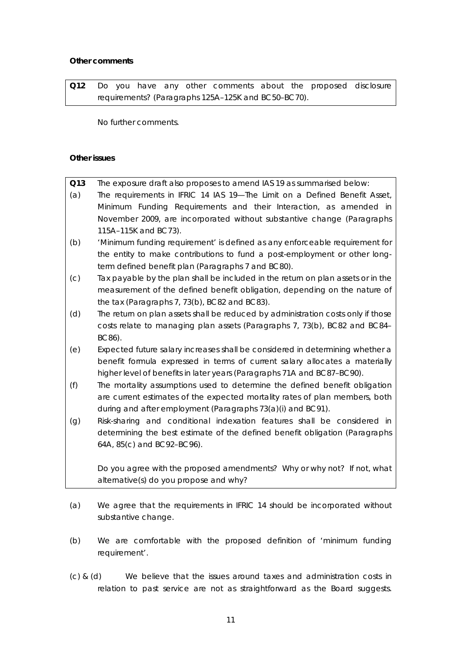# *Other comments*

*Q12 Do you have any other comments about the proposed disclosure requirements? (Paragraphs 125A–125K and BC50–BC70).* 

No further comments.

# **Other issues**

| O13 | The exposure draft also proposes to amend IAS 19 as summarised below:            |
|-----|----------------------------------------------------------------------------------|
| (a) | The requirements in IFRIC 14 IAS 19—The Limit on a Defined Benefit Asset,        |
|     | Minimum Funding Requirements and their Interaction, as amended in                |
|     | November 2009, are incorporated without substantive change (Paragraphs           |
|     | 115A-115K and BC73).                                                             |
| (b) | 'Minimum funding requirement' is defined as any enforceable requirement for      |
|     | the entity to make contributions to fund a post-employment or other long-        |
|     | term defined benefit plan (Paragraphs 7 and BC80).                               |
| (C) | Tax payable by the plan shall be included in the return on plan assets or in the |
|     | measurement of the defined benefit obligation, depending on the nature of        |
|     | the tax (Paragraphs 7, 73(b), BC82 and BC83).                                    |
| (d) | The return on plan assets shall be reduced by administration costs only if those |
|     | costs relate to managing plan assets (Paragraphs 7, 73(b), BC82 and BC84-        |
|     | BC86).                                                                           |
| (e) | Expected future salary increases shall be considered in determining whether a    |
|     | benefit formula expressed in terms of current salary allocates a materially      |
|     | higher level of benefits in later years (Paragraphs 71A and BC87-BC90).          |
| (f) | The mortality assumptions used to determine the defined benefit obligation       |
|     | are current estimates of the expected mortality rates of plan members, both      |
|     | during and after employment (Paragraphs 73(a)(i) and BC91).                      |
| (g) | Risk-sharing and conditional indexation features shall be considered in          |
|     | determining the best estimate of the defined benefit obligation (Paragraphs      |
|     | 64A, 85(c) and BC92-BC96).                                                       |
|     |                                                                                  |
|     | Do you agree with the proposed amendments? Why or why not? If not, what          |
|     | alternative(s) do you propose and why?                                           |

- (a) We agree that the requirements in IFRIC 14 should be incorporated without substantive change.
- (b) We are comfortable with the proposed definition of 'minimum funding requirement'.
- (c) & (d) We believe that the issues around taxes and administration costs in relation to past service are not as straightforward as the Board suggests.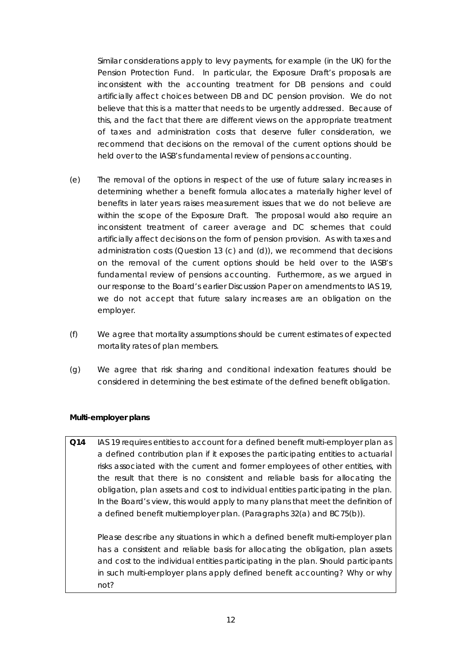Similar considerations apply to levy payments, for example (in the UK) for the Pension Protection Fund. In particular, the Exposure Draft's proposals are inconsistent with the accounting treatment for DB pensions and could artificially affect choices between DB and DC pension provision. We do not believe that this is a matter that needs to be urgently addressed. Because of this, and the fact that there are different views on the appropriate treatment of taxes and administration costs that deserve fuller consideration, we recommend that decisions on the removal of the current options should be held over to the IASB's fundamental review of pensions accounting.

- (e) The removal of the options in respect of the use of future salary increases in determining whether a benefit formula allocates a materially higher level of benefits in later years raises measurement issues that we do not believe are within the scope of the Exposure Draft. The proposal would also require an inconsistent treatment of career average and DC schemes that could artificially affect decisions on the form of pension provision. As with taxes and administration costs (Question 13 (c) and (d)), we recommend that decisions on the removal of the current options should be held over to the IASB's fundamental review of pensions accounting. Furthermore, as we argued in our response to the Board's earlier Discussion Paper on amendments to IAS 19, we do not accept that future salary increases are an obligation on the employer.
- (f) We agree that mortality assumptions should be current estimates of expected mortality rates of plan members.
- (g) We agree that risk sharing and conditional indexation features should be considered in determining the best estimate of the defined benefit obligation.

# **Multi-employer plans**

*Q14 IAS 19 requires entities to account for a defined benefit multi-employer plan as a defined contribution plan if it exposes the participating entities to actuarial risks associated with the current and former employees of other entities, with the result that there is no consistent and reliable basis for allocating the obligation, plan assets and cost to individual entities participating in the plan.*  In the Board's view, this would apply to many plans that meet the definition of *a defined benefit multiemployer plan. (Paragraphs 32(a) and BC75(b)).* 

 *Please describe any situations in which a defined benefit multi-employer plan has a consistent and reliable basis for allocating the obligation, plan assets and cost to the individual entities participating in the plan. Should participants in such multi-employer plans apply defined benefit accounting? Why or why not?*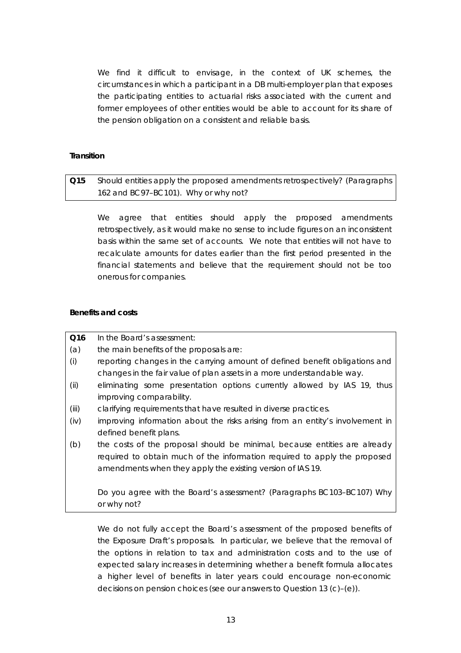We find it difficult to envisage, in the context of UK schemes, the circumstances in which a participant in a DB multi-employer plan that exposes the participating entities to actuarial risks associated with the current and former employees of other entities would be able to account for its share of the pension obligation on a consistent and reliable basis.

# **Transition**

# *Q15 Should entities apply the proposed amendments retrospectively? (Paragraphs 162 and BC97–BC101). Why or why not?*

We agree that entities should apply the proposed amendments retrospectively, as it would make no sense to include figures on an inconsistent basis within the same set of accounts. We note that entities will not have to recalculate amounts for dates earlier than the first period presented in the financial statements and believe that the requirement should not be too onerous for companies.

#### **Benefits and costs**

| Q <sub>16</sub> | In the Board's assessment:                                                    |
|-----------------|-------------------------------------------------------------------------------|
| (a)             | the main benefits of the proposals are:                                       |
| (i)             | reporting changes in the carrying amount of defined benefit obligations and   |
|                 | changes in the fair value of plan assets in a more understandable way.        |
| (ii)            | eliminating some presentation options currently allowed by IAS 19, thus       |
|                 | improving comparability.                                                      |
| (iii)           | clarifying requirements that have resulted in diverse practices.              |
| (iv)            | improving information about the risks arising from an entity's involvement in |
|                 | defined benefit plans.                                                        |
| (b)             | the costs of the proposal should be minimal, because entities are already     |
|                 | required to obtain much of the information required to apply the proposed     |
|                 | amendments when they apply the existing version of IAS 19.                    |
|                 |                                                                               |
|                 | Do you agree with the Board's assessment? (Paragraphs BC103-BC107) Why        |
|                 | or why not?                                                                   |

We do not fully accept the Board's assessment of the proposed benefits of the Exposure Draft's proposals. In particular, we believe that the removal of the options in relation to tax and administration costs and to the use of expected salary increases in determining whether a benefit formula allocates a higher level of benefits in later years could encourage non-economic decisions on pension choices (see our answers to Question 13 (c)–(e)).